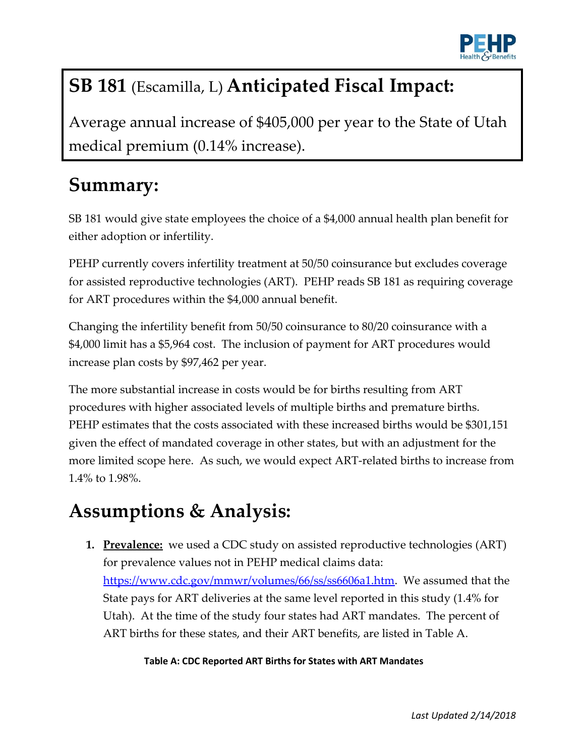

# **SB 181** (Escamilla, L) **Anticipated Fiscal Impact:**

Average annual increase of \$405,000 per year to the State of Utah medical premium (0.14% increase).

### **Summary:**

SB 181 would give state employees the choice of a \$4,000 annual health plan benefit for either adoption or infertility.

PEHP currently covers infertility treatment at 50/50 coinsurance but excludes coverage for assisted reproductive technologies (ART). PEHP reads SB 181 as requiring coverage for ART procedures within the \$4,000 annual benefit.

Changing the infertility benefit from 50/50 coinsurance to 80/20 coinsurance with a \$4,000 limit has a \$5,964 cost. The inclusion of payment for ART procedures would increase plan costs by \$97,462 per year.

The more substantial increase in costs would be for births resulting from ART procedures with higher associated levels of multiple births and premature births. PEHP estimates that the costs associated with these increased births would be \$301,151 given the effect of mandated coverage in other states, but with an adjustment for the more limited scope here. As such, we would expect ART-related births to increase from 1.4% to 1.98%.

## **Assumptions & Analysis:**

**1. Prevalence:** we used a CDC study on assisted reproductive technologies (ART) for prevalence values not in PEHP medical claims data: [https://www.cdc.gov/mmwr/volumes/66/ss/ss6606a1.htm.](https://www.cdc.gov/mmwr/volumes/66/ss/ss6606a1.htm) We assumed that the State pays for ART deliveries at the same level reported in this study (1.4% for Utah). At the time of the study four states had ART mandates. The percent of ART births for these states, and their ART benefits, are listed in Table A.

#### **Table A: CDC Reported ART Births for States with ART Mandates**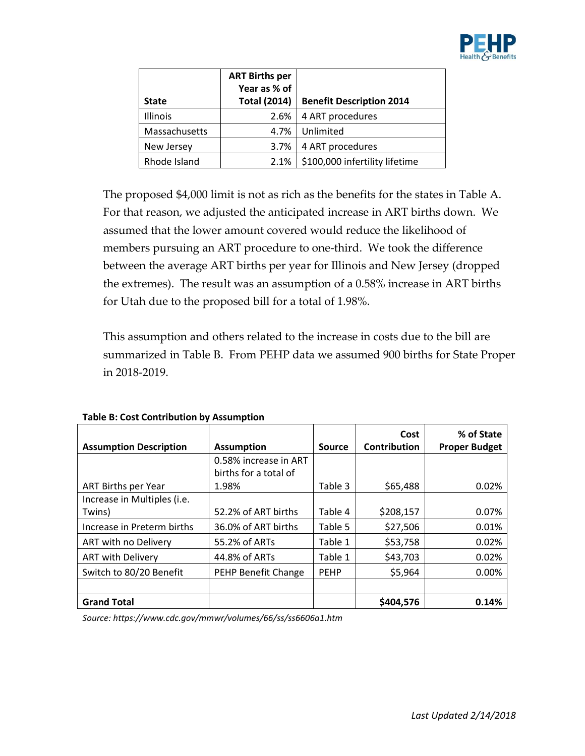

|               | <b>ART Births per</b> |                                 |
|---------------|-----------------------|---------------------------------|
|               | Year as % of          |                                 |
| <b>State</b>  | <b>Total (2014)</b>   | <b>Benefit Description 2014</b> |
| Illinois      | 2.6%                  | 4 ART procedures                |
| Massachusetts | 4.7%                  | Unlimited                       |
| New Jersey    | 3.7%                  | 4 ART procedures                |
| Rhode Island  | 2.1%                  | \$100,000 infertility lifetime  |

The proposed \$4,000 limit is not as rich as the benefits for the states in Table A. For that reason, we adjusted the anticipated increase in ART births down. We assumed that the lower amount covered would reduce the likelihood of members pursuing an ART procedure to one-third. We took the difference between the average ART births per year for Illinois and New Jersey (dropped the extremes). The result was an assumption of a 0.58% increase in ART births for Utah due to the proposed bill for a total of 1.98%.

This assumption and others related to the increase in costs due to the bill are summarized in Table B. From PEHP data we assumed 900 births for State Proper in 2018-2019.

|                               |                       |             | Cost                | % of State           |
|-------------------------------|-----------------------|-------------|---------------------|----------------------|
| <b>Assumption Description</b> | <b>Assumption</b>     | Source      | <b>Contribution</b> | <b>Proper Budget</b> |
|                               | 0.58% increase in ART |             |                     |                      |
|                               | births for a total of |             |                     |                      |
| <b>ART Births per Year</b>    | 1.98%                 | Table 3     | \$65,488            | 0.02%                |
| Increase in Multiples (i.e.   |                       |             |                     |                      |
| Twins)                        | 52.2% of ART births   | Table 4     | \$208,157           | 0.07%                |
| Increase in Preterm births    | 36.0% of ART births   | Table 5     | \$27,506            | 0.01%                |
| ART with no Delivery          | 55.2% of ARTs         | Table 1     | \$53,758            | 0.02%                |
| <b>ART with Delivery</b>      | 44.8% of ARTs         | Table 1     | \$43,703            | 0.02%                |
| Switch to 80/20 Benefit       | PEHP Benefit Change   | <b>PEHP</b> | \$5,964             | 0.00%                |
|                               |                       |             |                     |                      |
| <b>Grand Total</b>            |                       |             | \$404,576           | 0.14%                |

**Table B: Cost Contribution by Assumption**

*Source: https://www.cdc.gov/mmwr/volumes/66/ss/ss6606a1.htm*